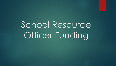## School Resource Officer Funding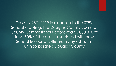On May 28th, 2019 in response to the STEM School shooting, the Douglas County Board of County Commissioners approved \$3,000,000 to fund 50% of the costs associated with new School Resource Officers in any school in unincorporated Douglas County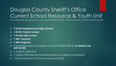## Douglas County Sheriff's Office Current School Resource & Youth Unit

(In partnership with Douglas County School District (DCSD), one Private and 1 DCSD Charter school)

- **7 DCSD Neighborhood High Schools**
- **1 DCSD Charter School**
- **1 Private High School**
- **1 SRO Corporal**
- **1 SRO Sergeant**
- 3 Youth Education and Safety in Schools (YESS) Officers **(1 shared cost with DCSD)**
- 1 Juvenile Detective
- 1 Civilian YESS/Suicide Prevention/Parent Academy Coordinator
- ▶ 7 School Marshals (Off Duty funded by DCSD)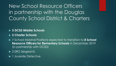New School Resource Officers in partnership with the Douglas County School District & Charters

**5 DCSD Middle Schools**

**2 Charter Schools**

▶ 7 School Marshal Positions expected to transition to **8 School Resource Officers for Elementary Schools** in December 2019 (in partnership with DCSD)

- ▶ 2 SRO Sergeants
- **1** Juvenile Detective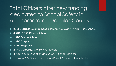Total Officers after new funding dedicated to School Safety in unincorporated Douglas County

- ▶ 20 SROs DCSD Neighborhood (Elementary, Middle, and Sr. High Schools)
- **3 SROs DCSD Charter Schools**
- **1 SRO Private School**
- **1 SRO Corporal**
- **3 SRO Sergeants**
- 2 SRO Corporal/Juvenile Investigators
- 3 YESS -Youth Education and Safety in School Officers
- 1 Civilian YESS/Suicide Prevention/Parent Academy Coordinator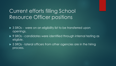## Current efforts filling School Resource Officer positions

- ▶ 3 SROs were on an eligibility list to be transferred upon openings.
- ▶ 9 SROs candidates were identified through internal testing as eligible.
- ▶ 5 SROs lateral officers from other agencies are in the hiring process.